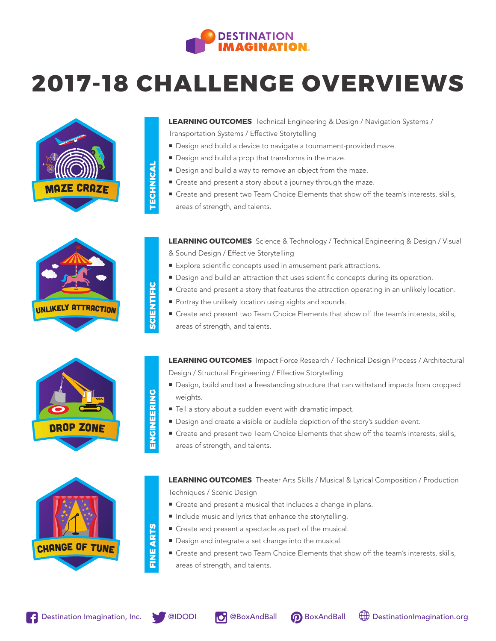

## **2017-18 CHALLENGE OVERVIEWS**





- **Design and build a device to navigate a tournament-provided maze.**
- ¡ Design and build a prop that transforms in the maze.
- Design and build a way to remove an object from the maze.
- ¡ Create and present a story about a journey through the maze.
- ¡ Create and present two Team Choice Elements that show off the team's interests, skills, areas of strength, and talents.

**LEARNING OUTCOMES** Science & Technology / Technical Engineering & Design / Visual & Sound Design / Effective Storytelling

- Explore scientific concepts used in amusement park attractions.
- Design and build an attraction that uses scientific concepts during its operation.
- Create and present a story that features the attraction operating in an unlikely location.
- **Portray the unlikely location using sights and sounds.**
- Create and present two Team Choice Elements that show off the team's interests, skills, areas of strength, and talents.

**LEARNING OUTCOMES** Impact Force Research / Technical Design Process / Architectural Design / Structural Engineering / Effective Storytelling

- Design, build and test a freestanding structure that can withstand impacts from dropped weights.
- $\blacksquare$  Tell a story about a sudden event with dramatic impact.
- Design and create a visible or audible depiction of the story's sudden event.
- Create and present two Team Choice Elements that show off the team's interests, skills, areas of strength, and talents.

**LEARNING OUTCOMES** Theater Arts Skills / Musical & Lyrical Composition / Production Techniques / Scenic Design

- Create and present a musical that includes a change in plans.
- ¡ Include music and lyrics that enhance the storytelling.
- Create and present a spectacle as part of the musical.
- Design and integrate a set change into the musical.
- Create and present two Team Choice Elements that show off the team's interests, skills, areas of strength, and talents.



<sup>u</sup>nlikel<sup>y</sup> <sup>a</sup>ttrACTIO<sup>N</sup>









FINE ARTS **FINE ARTS** 

TECHNICAL

**ECHNICAL** 

SCIENTIFIC

**SCIENTIFIC** 

ENGINEERING

ENGINEERING